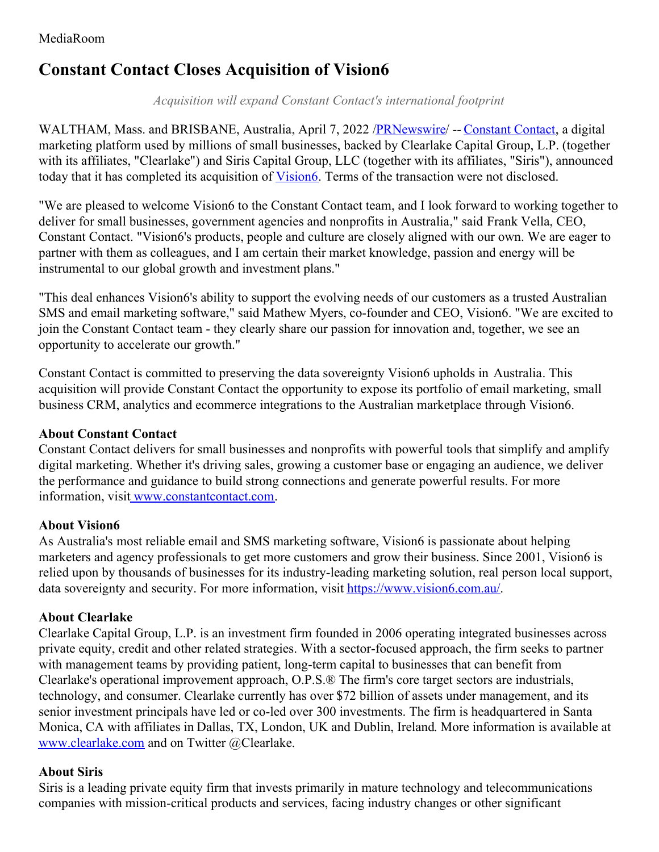# **Constant Contact Closes Acquisition of Vision6**

*Acquisition will expand Constant Contact's international footprint*

WALTHAM, Mass. and BRISBANE, Australia, April 7, 2022 [/PRNewswire](http://www.prnewswire.com/)/ -- [Constant](http://www.constantcontact.com/) Contact, a digital marketing platform used by millions of small businesses, backed by Clearlake Capital Group, L.P. (together with its affiliates, "Clearlake") and Siris Capital Group, LLC (together with its affiliates, "Siris"), announced today that it has completed its acquisition of *[Vision6](https://www.vision6.com.au/)*. Terms of the transaction were not disclosed.

"We are pleased to welcome Vision6 to the Constant Contact team, and I look forward to working together to deliver for small businesses, government agencies and nonprofits in Australia," said Frank Vella, CEO, Constant Contact. "Vision6's products, people and culture are closely aligned with our own. We are eager to partner with them as colleagues, and I am certain their market knowledge, passion and energy will be instrumental to our global growth and investment plans."

"This deal enhances Vision6's ability to support the evolving needs of our customers as a trusted Australian SMS and email marketing software," said Mathew Myers, co-founder and CEO, Vision6. "We are excited to join the Constant Contact team - they clearly share our passion for innovation and, together, we see an opportunity to accelerate our growth."

Constant Contact is committed to preserving the data sovereignty Vision6 upholds in Australia. This acquisition will provide Constant Contact the opportunity to expose its portfolio of email marketing, small business CRM, analytics and ecommerce integrations to the Australian marketplace through Vision6.

## **About Constant Contact**

Constant Contact delivers for small businesses and nonprofits with powerful tools that simplify and amplify digital marketing. Whether it's driving sales, growing a customer base or engaging an audience, we deliver the performance and guidance to build strong connections and generate powerful results. For more information, visi[t](http://www.constantcontact.com/) [www.constantcontact.com](http://www.constantcontact.com/).

## **About Vision6**

As Australia's most reliable email and SMS marketing software, Vision6 is passionate about helping marketers and agency professionals to get more customers and grow their business. Since 2001, Vision6 is relied upon by thousands of businesses for its industry-leading marketing solution, real person local support, data sovereignty and security. For more information, visit [https://www.vision6.com.au/](http://www.vision6.com/).

## **About Clearlake**

Clearlake Capital Group, L.P. is an investment firm founded in 2006 operating integrated businesses across private equity, credit and other related strategies. With a sector-focused approach, the firm seeks to partner with management teams by providing patient, long-term capital to businesses that can benefit from Clearlake's operational improvement approach, O.P.S.® The firm's core target sectors are industrials, technology, and consumer. Clearlake currently has over \$72 billion of assets under management, and its senior investment principals have led or co-led over 300 investments. The firm is headquartered in Santa Monica, CA with affiliates in Dallas, TX, London, UK and Dublin, Ireland. More information is available at [www.clearlake.com](http://www.clearlake.com/) and on Twitter @Clearlake.

#### **About Siris**

Siris is a leading private equity firm that invests primarily in mature technology and telecommunications companies with mission-critical products and services, facing industry changes or other significant